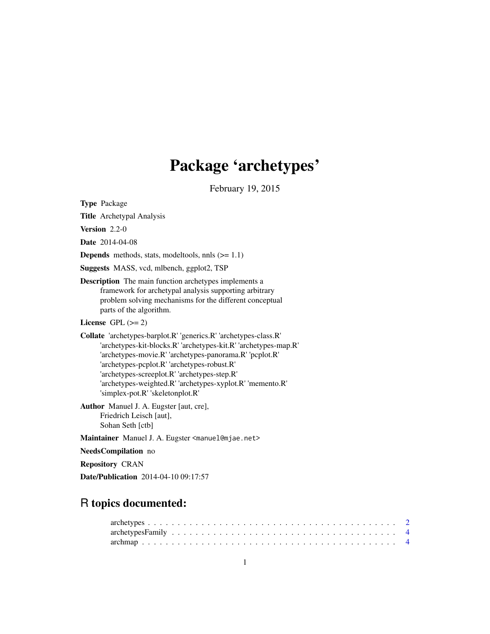# Package 'archetypes'

February 19, 2015

<span id="page-0-0"></span>Type Package

Title Archetypal Analysis Version 2.2-0 Date 2014-04-08 **Depends** methods, stats, modeltools, nnls  $(>= 1.1)$ Suggests MASS, vcd, mlbench, ggplot2, TSP Description The main function archetypes implements a framework for archetypal analysis supporting arbitrary problem solving mechanisms for the different conceptual parts of the algorithm. License GPL  $(>= 2)$ Collate 'archetypes-barplot.R' 'generics.R' 'archetypes-class.R' 'archetypes-kit-blocks.R' 'archetypes-kit.R' 'archetypes-map.R' 'archetypes-movie.R' 'archetypes-panorama.R' 'pcplot.R' 'archetypes-pcplot.R' 'archetypes-robust.R' 'archetypes-screeplot.R' 'archetypes-step.R' 'archetypes-weighted.R' 'archetypes-xyplot.R' 'memento.R' 'simplex-pot.R' 'skeletonplot.R' Author Manuel J. A. Eugster [aut, cre], Friedrich Leisch [aut], Sohan Seth [ctb] Maintainer Manuel J. A. Eugster <manuel@mjae.net> NeedsCompilation no Repository CRAN

# Date/Publication 2014-04-10 09:17:57

# R topics documented: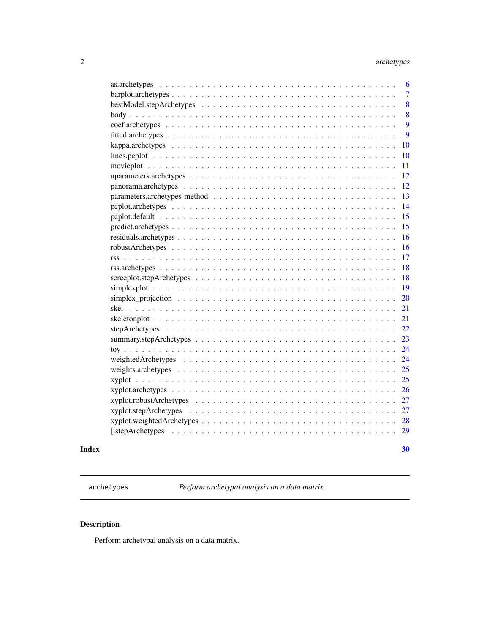<span id="page-1-0"></span>

| weighted Archetypes $\ldots \ldots \ldots \ldots \ldots \ldots \ldots \ldots \ldots \ldots \ldots \ldots \ldots$ | 22<br>23<br>24<br>24<br>25<br>25<br>26<br>27<br>27<br>28<br>29                                                  |
|------------------------------------------------------------------------------------------------------------------|-----------------------------------------------------------------------------------------------------------------|
|                                                                                                                  |                                                                                                                 |
|                                                                                                                  |                                                                                                                 |
|                                                                                                                  |                                                                                                                 |
|                                                                                                                  |                                                                                                                 |
|                                                                                                                  |                                                                                                                 |
|                                                                                                                  |                                                                                                                 |
|                                                                                                                  |                                                                                                                 |
|                                                                                                                  |                                                                                                                 |
|                                                                                                                  |                                                                                                                 |
|                                                                                                                  |                                                                                                                 |
|                                                                                                                  |                                                                                                                 |
|                                                                                                                  | 21                                                                                                              |
|                                                                                                                  | 21                                                                                                              |
|                                                                                                                  | 20                                                                                                              |
|                                                                                                                  | 19                                                                                                              |
|                                                                                                                  | 18                                                                                                              |
|                                                                                                                  | 18                                                                                                              |
|                                                                                                                  | 17                                                                                                              |
|                                                                                                                  | 16                                                                                                              |
|                                                                                                                  | 16                                                                                                              |
|                                                                                                                  | 15                                                                                                              |
|                                                                                                                  | 15                                                                                                              |
|                                                                                                                  | 14                                                                                                              |
|                                                                                                                  | 13                                                                                                              |
|                                                                                                                  | 12                                                                                                              |
|                                                                                                                  | 12                                                                                                              |
|                                                                                                                  | 11                                                                                                              |
|                                                                                                                  | 10                                                                                                              |
|                                                                                                                  | 10                                                                                                              |
|                                                                                                                  | 9                                                                                                               |
|                                                                                                                  | 9                                                                                                               |
|                                                                                                                  | 8                                                                                                               |
|                                                                                                                  | 8                                                                                                               |
|                                                                                                                  | $\overline{7}$                                                                                                  |
|                                                                                                                  | 6                                                                                                               |
|                                                                                                                  | $simplex\_projection \dots \dots \dots \dots \dots \dots \dots \dots \dots \dots \dots \dots \dots \dots \dots$ |

<span id="page-1-1"></span>archetypes *Perform archetypal analysis on a data matrix.*

# Description

Perform archetypal analysis on a data matrix.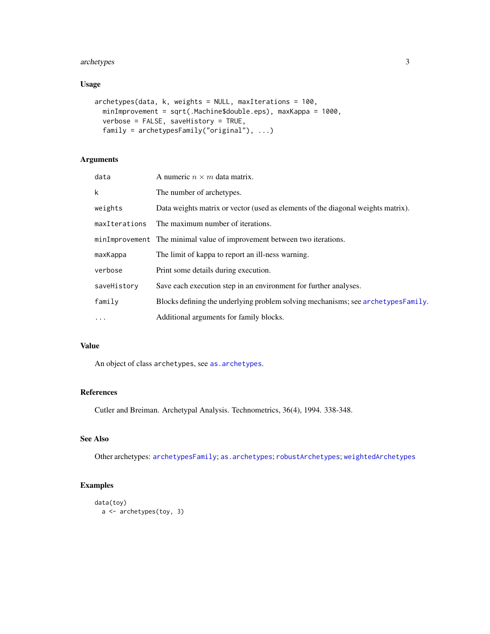#### <span id="page-2-0"></span>archetypes 3

# Usage

```
archetypes(data, k, weights = NULL, maxIterations = 100,
 minImprovement = sqrt(.Machine$double.eps), maxKappa = 1000,
 verbose = FALSE, saveHistory = TRUE,
  family = archetypesFamily("original"), ...)
```
# Arguments

| data          | A numeric $n \times m$ data matrix.                                              |
|---------------|----------------------------------------------------------------------------------|
| k             | The number of archetypes.                                                        |
| weights       | Data weights matrix or vector (used as elements of the diagonal weights matrix). |
| maxIterations | The maximum number of iterations.                                                |
|               | minImprovement The minimal value of improvement between two iterations.          |
| maxKappa      | The limit of kappa to report an ill-ness warning.                                |
| verbose       | Print some details during execution.                                             |
| saveHistory   | Save each execution step in an environment for further analyses.                 |
| family        | Blocks defining the underlying problem solving mechanisms; see archetypesFamily. |
| $\cdots$      | Additional arguments for family blocks.                                          |

# Value

An object of class archetypes, see [as.archetypes](#page-5-1).

# References

Cutler and Breiman. Archetypal Analysis. Technometrics, 36(4), 1994. 338-348.

#### See Also

Other archetypes: [archetypesFamily](#page-3-1); [as.archetypes](#page-5-1); [robustArchetypes](#page-15-1); [weightedArchetypes](#page-23-1)

#### Examples

```
data(toy)
 a <- archetypes(toy, 3)
```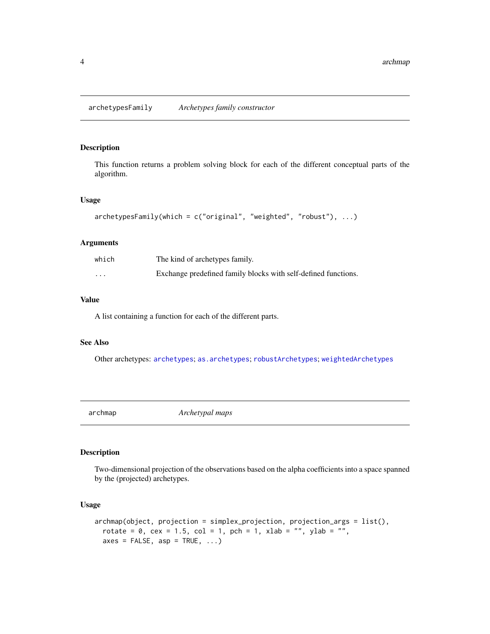<span id="page-3-1"></span><span id="page-3-0"></span>archetypesFamily *Archetypes family constructor*

#### Description

This function returns a problem solving block for each of the different conceptual parts of the algorithm.

#### Usage

```
archetypesFamily(which = c("original", "weighted", "robust"), ...)
```
#### Arguments

| which    | The kind of archetypes family.                                 |
|----------|----------------------------------------------------------------|
| $\cdots$ | Exchange predefined family blocks with self-defined functions. |

#### Value

A list containing a function for each of the different parts.

#### See Also

Other archetypes: [archetypes](#page-1-1); [as.archetypes](#page-5-1); [robustArchetypes](#page-15-1); [weightedArchetypes](#page-23-1)

<span id="page-3-2"></span>archmap *Archetypal maps*

#### Description

Two-dimensional projection of the observations based on the alpha coefficients into a space spanned by the (projected) archetypes.

```
archmap(object, projection = simplex_projection, projection_args = list(),
  rotate = 0, cex = 1.5, col = 1, pch = 1, xlab = "", ylab = "",
  axes = FALSE, asp = TRUE, ...)
```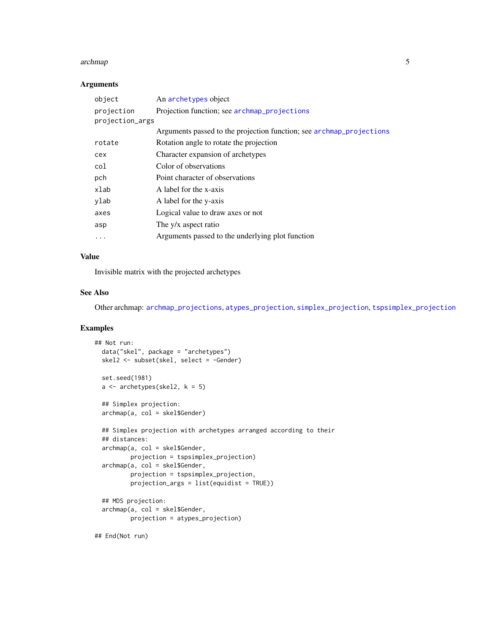#### <span id="page-4-0"></span>archmap 5

#### Arguments

| object          | An archetypes object                                                 |
|-----------------|----------------------------------------------------------------------|
| projection      | Projection function; see archmap_projections                         |
| projection_args |                                                                      |
|                 | Arguments passed to the projection function; see archmap_projections |
| rotate          | Rotation angle to rotate the projection                              |
| cex             | Character expansion of archetypes                                    |
| col             | Color of observations                                                |
| pch             | Point character of observations                                      |
| xlab            | A label for the x-axis                                               |
| ylab            | A label for the y-axis                                               |
| axes            | Logical value to draw axes or not                                    |
| asp             | The y/x aspect ratio                                                 |
|                 | Arguments passed to the underlying plot function                     |
|                 |                                                                      |

#### Value

Invisible matrix with the projected archetypes

# See Also

Other archmap: [archmap\\_projections](#page-19-1), [atypes\\_projection](#page-19-1), [simplex\\_projection](#page-19-2), [tspsimplex\\_projection](#page-19-1)

#### Examples

```
## Not run:
 data("skel", package = "archetypes")
 skel2 <- subset(skel, select = -Gender)
 set.seed(1981)
 a \leftarrow archetypes(skel2, k = 5)
 ## Simplex projection:
 archmap(a, col = skel$Gender)
 ## Simplex projection with archetypes arranged according to their
 ## distances:
 archmap(a, col = skel$Gender,
         projection = tspsimplex_projection)
 archmap(a, col = skel$Gender,
         projection = tspsimplex_projection,
         projection_args = list(equidist = TRUE))
 ## MDS projection:
 archmap(a, col = skel$Gender,
         projection = atypes_projection)
```
## End(Not run)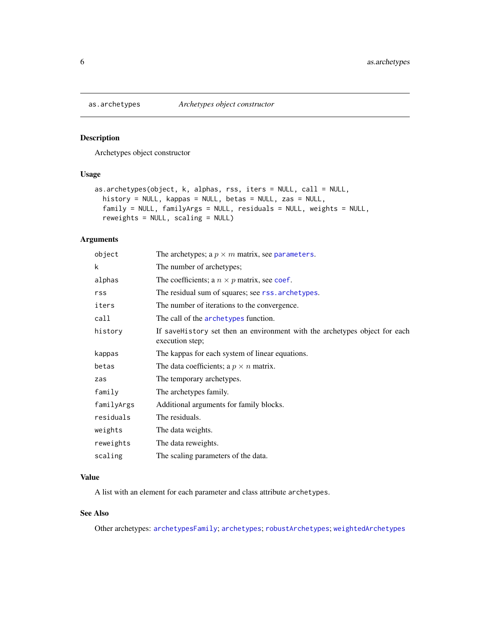<span id="page-5-1"></span><span id="page-5-0"></span>

Archetypes object constructor

#### Usage

```
as.archetypes(object, k, alphas, rss, iters = NULL, call = NULL,
 history = NULL, kappas = NULL, betas = NULL, zas = NULL,
  family = NULL, familyArgs = NULL, residuals = NULL, weights = NULL,
  reweights = NULL, scaling = NULL)
```
#### Arguments

| object     | The archetypes; a $p \times m$ matrix, see parameters.                                        |
|------------|-----------------------------------------------------------------------------------------------|
| k          | The number of archetypes;                                                                     |
| alphas     | The coefficients; a $n \times p$ matrix, see coef.                                            |
| rss        | The residual sum of squares; see rss. archetypes.                                             |
| iters      | The number of iterations to the convergence.                                                  |
| call       | The call of the archetypes function.                                                          |
| history    | If saveHistory set then an environment with the archetypes object for each<br>execution step; |
| kappas     | The kappas for each system of linear equations.                                               |
| betas      | The data coefficients; a $p \times n$ matrix.                                                 |
| zas        | The temporary archetypes.                                                                     |
| family     | The archetypes family.                                                                        |
| familyArgs | Additional arguments for family blocks.                                                       |
| residuals  | The residuals.                                                                                |
| weights    | The data weights.                                                                             |
| reweights  | The data reweights.                                                                           |
| scaling    | The scaling parameters of the data.                                                           |
|            |                                                                                               |

# Value

A list with an element for each parameter and class attribute archetypes.

# See Also

Other archetypes: [archetypesFamily](#page-3-1); [archetypes](#page-1-1); [robustArchetypes](#page-15-1); [weightedArchetypes](#page-23-1)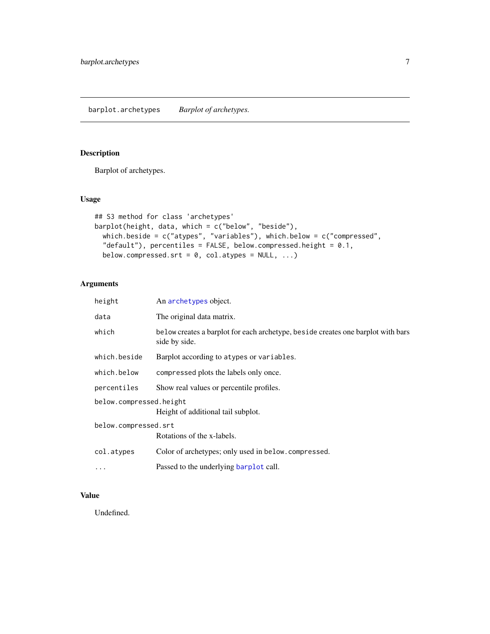<span id="page-6-0"></span>Barplot of archetypes.

# Usage

```
## S3 method for class 'archetypes'
barplot(height, data, which = c("below", "beside"),
 which.beside = c("atypes", "variables"), which.below = c("compressed",
  "default"), percentiles = FALSE, below.compressed.height = 0.1,
 below.compressed.srt = 0, col.atypes = NULL, ...)
```
# Arguments

| An archetypes object.                                                                              |  |  |  |  |
|----------------------------------------------------------------------------------------------------|--|--|--|--|
| The original data matrix.                                                                          |  |  |  |  |
| be low creates a barplot for each archetype, beside creates one barplot with bars<br>side by side. |  |  |  |  |
| Barplot according to atypes or variables.                                                          |  |  |  |  |
| compressed plots the labels only once.                                                             |  |  |  |  |
| Show real values or percentile profiles.                                                           |  |  |  |  |
| below.compressed.height<br>Height of additional tail subplot.                                      |  |  |  |  |
| below.compressed.srt<br>Rotations of the x-labels.                                                 |  |  |  |  |
| Color of archetypes; only used in below.compressed.                                                |  |  |  |  |
| Passed to the underlying barplot call.                                                             |  |  |  |  |
|                                                                                                    |  |  |  |  |

# Value

Undefined.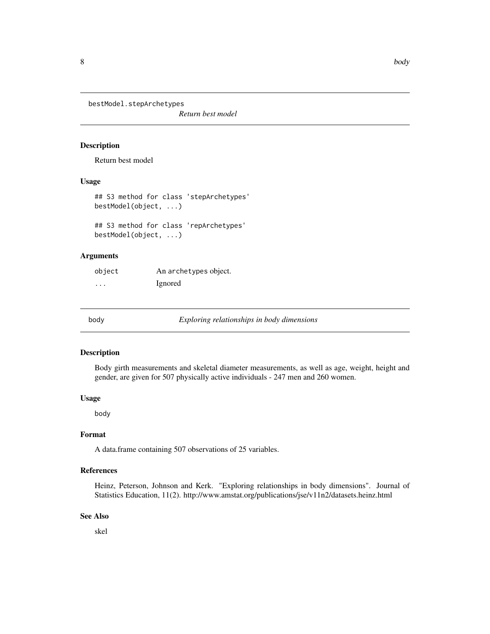<span id="page-7-0"></span>bestModel.stepArchetypes

*Return best model*

#### Description

Return best model

#### Usage

```
## S3 method for class 'stepArchetypes'
bestModel(object, ...)
## S3 method for class 'repArchetypes'
bestModel(object, ...)
```
#### Arguments

| object   | An archetypes object. |
|----------|-----------------------|
| $\cdots$ | <i>l</i> gnored       |

<span id="page-7-1"></span>

body *Exploring relationships in body dimensions*

#### Description

Body girth measurements and skeletal diameter measurements, as well as age, weight, height and gender, are given for 507 physically active individuals - 247 men and 260 women.

#### Usage

body

#### Format

A data.frame containing 507 observations of 25 variables.

#### References

Heinz, Peterson, Johnson and Kerk. "Exploring relationships in body dimensions". Journal of Statistics Education, 11(2). http://www.amstat.org/publications/jse/v11n2/datasets.heinz.html

#### See Also

skel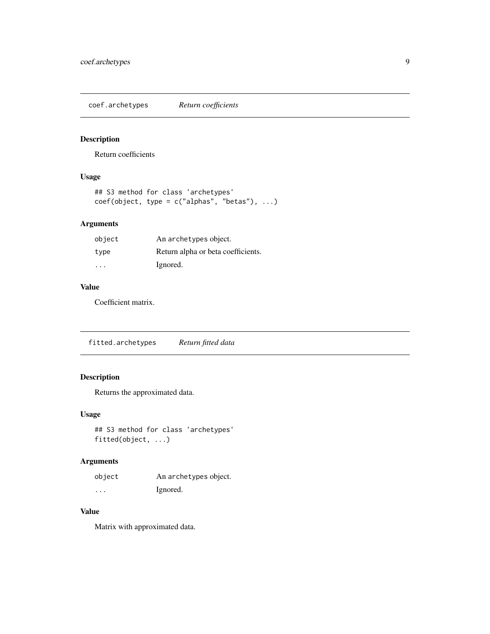<span id="page-8-0"></span>coef.archetypes *Return coefficients*

#### Description

Return coefficients

# Usage

```
## S3 method for class 'archetypes'
coef(object, type = c("alphas", "beta"), ...)
```
#### Arguments

| object | An archetypes object.              |
|--------|------------------------------------|
| type   | Return alpha or beta coefficients. |
| .      | Ignored.                           |

# Value

Coefficient matrix.

fitted.archetypes *Return fitted data*

# Description

Returns the approximated data.

# Usage

## S3 method for class 'archetypes' fitted(object, ...)

#### Arguments

| object   | An archetypes object. |
|----------|-----------------------|
| $\cdots$ | Ignored.              |

# Value

Matrix with approximated data.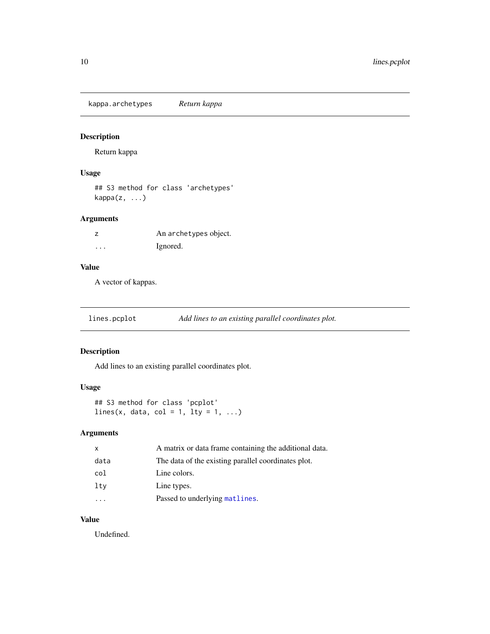<span id="page-9-0"></span>kappa.archetypes *Return kappa*

# Description

Return kappa

# Usage

## S3 method for class 'archetypes' kappa(z, ...)

#### Arguments

|          | An archetypes object. |
|----------|-----------------------|
| $\cdots$ | Ignored.              |

# Value

A vector of kappas.

<span id="page-9-1"></span>lines.pcplot *Add lines to an existing parallel coordinates plot.*

#### Description

Add lines to an existing parallel coordinates plot.

# Usage

```
## S3 method for class 'pcplot'
lines(x, data, col = 1, lty = 1, ...)
```
#### Arguments

| $\mathsf{x}$ | A matrix or data frame containing the additional data. |
|--------------|--------------------------------------------------------|
| data         | The data of the existing parallel coordinates plot.    |
| col          | Line colors.                                           |
| ltv          | Line types.                                            |
|              | Passed to underlying matlines.                         |

# Value

Undefined.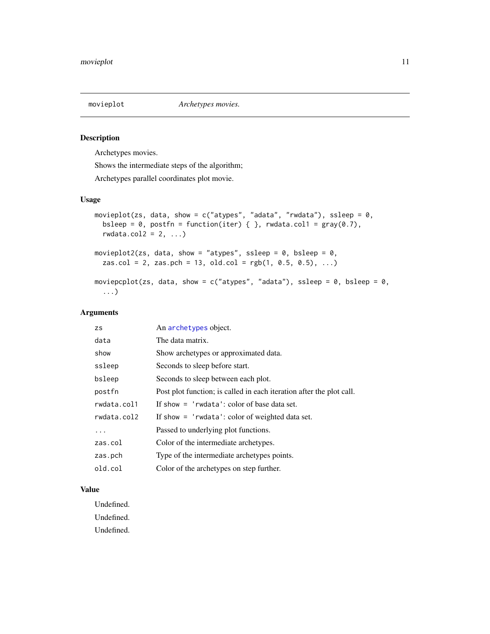<span id="page-10-0"></span>

Archetypes movies.

Shows the intermediate steps of the algorithm;

Archetypes parallel coordinates plot movie.

#### Usage

```
movieplot(zs, data, show = c("atypes", "adata", "rwdata"), ssleep = 0,bsleep = 0, postfn = function(iter) { }, rwdata.col1 = gray(0.7),
  rwdata.col2 = 2, ...)
movieplot2(zs, data, show = "atypes", ssleep = 0, bsleep = 0,
  zas.col = 2, zas.pch = 13, old.col = rgb(1, 0.5, 0.5), ...moviepcplot(zs, data, show = c("atypes", "adata"), ssleep = 0, bsleep = 0,
  ...)
```
#### Arguments

| <b>ZS</b>   | An archetypes object.                                                |
|-------------|----------------------------------------------------------------------|
| data        | The data matrix.                                                     |
| show        | Show archetypes or approximated data.                                |
| ssleep      | Seconds to sleep before start.                                       |
| bsleep      | Seconds to sleep between each plot.                                  |
| postfn      | Post plot function; is called in each iteration after the plot call. |
| rwdata.col1 | If show $=$ 'rwdata': color of base data set.                        |
| rwdata.col2 | If show $=$ 'rwdata': color of weighted data set.                    |
| .           | Passed to underlying plot functions.                                 |
| zas.col     | Color of the intermediate archetypes.                                |
| zas.pch     | Type of the intermediate archetypes points.                          |
| old.col     | Color of the archetypes on step further.                             |

#### Value

Undefined. Undefined. Undefined.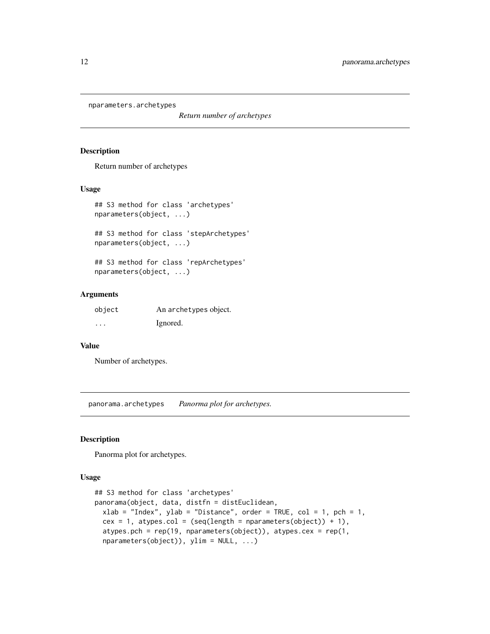<span id="page-11-0"></span>nparameters.archetypes

*Return number of archetypes*

#### Description

Return number of archetypes

#### Usage

```
## S3 method for class 'archetypes'
nparameters(object, ...)
```

```
## S3 method for class 'stepArchetypes'
nparameters(object, ...)
```

```
## S3 method for class 'repArchetypes'
nparameters(object, ...)
```
#### Arguments

| object | An archetypes object. |
|--------|-----------------------|
| .      | Ignored.              |

#### Value

Number of archetypes.

panorama.archetypes *Panorma plot for archetypes.*

#### Description

Panorma plot for archetypes.

```
## S3 method for class 'archetypes'
panorama(object, data, distfn = distEuclidean,
 xlab = "Index", ylab = "Distance", order = TRUE, col = 1, pch = 1,
  cex = 1, atypes.col = (seq(length = nparameters(object)) + 1),
  atypes.pch = rep(19, nparameters(object)), atypes.cex = rep(1,
  nparameters(object)), ylim = NULL, ...)
```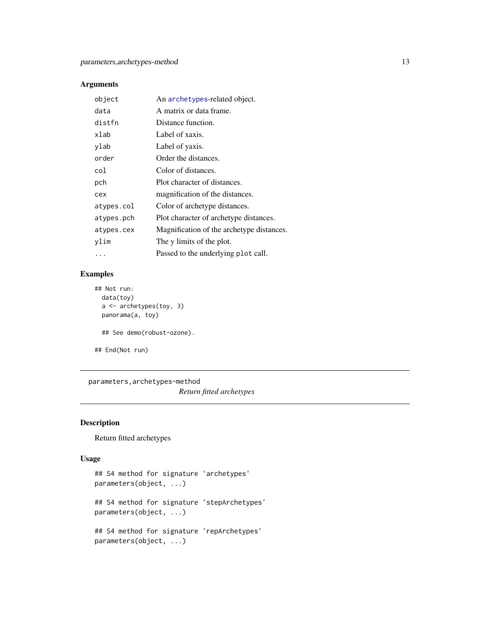<span id="page-12-0"></span>

| object     | An archetypes-related object.             |
|------------|-------------------------------------------|
| data       | A matrix or data frame.                   |
| distfn     | Distance function.                        |
| xlab       | Label of xaxis.                           |
| ylab       | Label of yaxis.                           |
| order      | Order the distances.                      |
| col        | Color of distances.                       |
| pch        | Plot character of distances.              |
| cex        | magnification of the distances.           |
| atypes.col | Color of archetype distances.             |
| atypes.pch | Plot character of archetype distances.    |
| atypes.cex | Magnification of the archetype distances. |
| ylim       | The y limits of the plot.                 |
| .          | Passed to the underlying plot call.       |

# Examples

```
## Not run:
 data(toy)
  a <- archetypes(toy, 3)
  panorama(a, toy)
  ## See demo(robust-ozone).
## End(Not run)
```
parameters,archetypes-method *Return fitted archetypes*

# Description

Return fitted archetypes

```
## S4 method for signature 'archetypes'
parameters(object, ...)
## S4 method for signature 'stepArchetypes'
parameters(object, ...)
## S4 method for signature 'repArchetypes'
parameters(object, ...)
```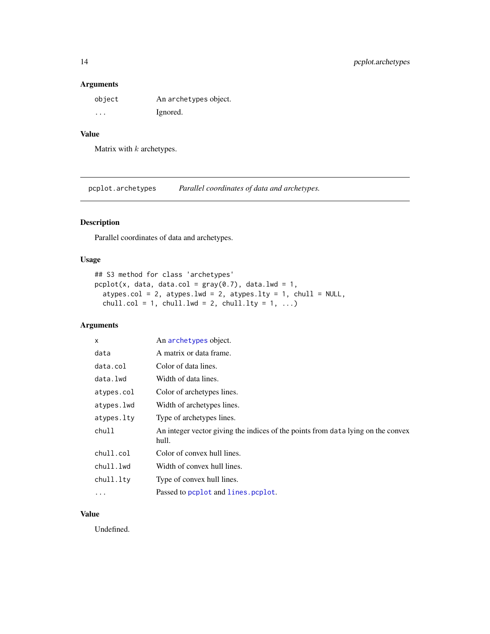<span id="page-13-0"></span>

| object  | An archetypes object. |
|---------|-----------------------|
| $\cdot$ | Ignored.              |

# Value

Matrix with  $k$  archetypes.

pcplot.archetypes *Parallel coordinates of data and archetypes.*

# Description

Parallel coordinates of data and archetypes.

# Usage

```
## S3 method for class 'archetypes'
pcplot(x, data, data,col = gray(0.7), data.lwd = 1,atypes.col = 2, atypes.lwd = 2, atypes.lty = 1, chull = NULL,
  chull.col = 1, chull.lwd = 2, chull.lty = 1, ...)
```
# Arguments

| X          | An archetypes object.                                                                     |
|------------|-------------------------------------------------------------------------------------------|
| data       | A matrix or data frame.                                                                   |
| data.col   | Color of data lines.                                                                      |
| data.lwd   | Width of data lines.                                                                      |
| atypes.col | Color of archetypes lines.                                                                |
| atypes.lwd | Width of archetypes lines.                                                                |
| atypes.lty | Type of archetypes lines.                                                                 |
| chull      | An integer vector giving the indices of the points from data lying on the convex<br>hull. |
| chull.col  | Color of convex hull lines.                                                               |
| chull.lwd  | Width of convex hull lines.                                                               |
| chull.lty  | Type of convex hull lines.                                                                |
| $\cdots$   | Passed to pcplot and lines. pcplot.                                                       |

# Value

Undefined.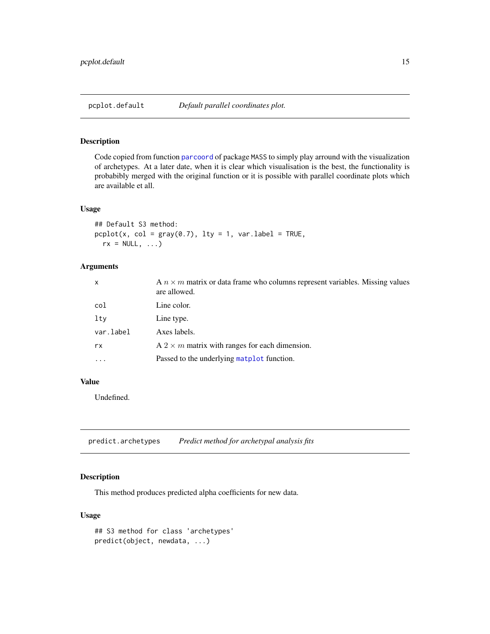<span id="page-14-0"></span>Code copied from function [parcoord](#page-0-0) of package MASS to simply play arround with the visualization of archetypes. At a later date, when it is clear which visualisation is the best, the functionality is probabibly merged with the original function or it is possible with parallel coordinate plots which are available et all.

#### Usage

## Default S3 method:  $pcplot(x, col = gray(0.7), lty = 1, var.label = TRUE,$  $rx = NULL, ...$ 

#### Arguments

| $\mathsf{x}$ | A $n \times m$ matrix or data frame who columns represent variables. Missing values<br>are allowed. |
|--------------|-----------------------------------------------------------------------------------------------------|
| col          | Line color.                                                                                         |
| lty          | Line type.                                                                                          |
| var.label    | Axes labels.                                                                                        |
| rx.          | A $2 \times m$ matrix with ranges for each dimension.                                               |
| .            | Passed to the underlying matplot function.                                                          |

#### Value

Undefined.

predict.archetypes *Predict method for archetypal analysis fits*

#### Description

This method produces predicted alpha coefficients for new data.

```
## S3 method for class 'archetypes'
predict(object, newdata, ...)
```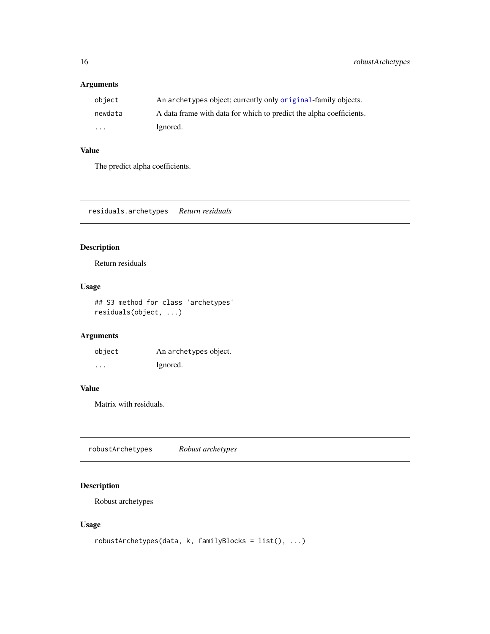<span id="page-15-0"></span>

| obiect                  | An archetypes object; currently only original-family objects.       |
|-------------------------|---------------------------------------------------------------------|
| newdata                 | A data frame with data for which to predict the alpha coefficients. |
| $\cdot$ $\cdot$ $\cdot$ | Ignored.                                                            |

# Value

The predict alpha coefficients.

residuals.archetypes *Return residuals*

# Description

Return residuals

# Usage

## S3 method for class 'archetypes' residuals(object, ...)

# Arguments

| object | An archetypes object. |
|--------|-----------------------|
| .      | Ignored.              |

# Value

Matrix with residuals.

<span id="page-15-1"></span>robustArchetypes *Robust archetypes*

# Description

Robust archetypes

```
robustArchetypes(data, k, familyBlocks = list(), ...)
```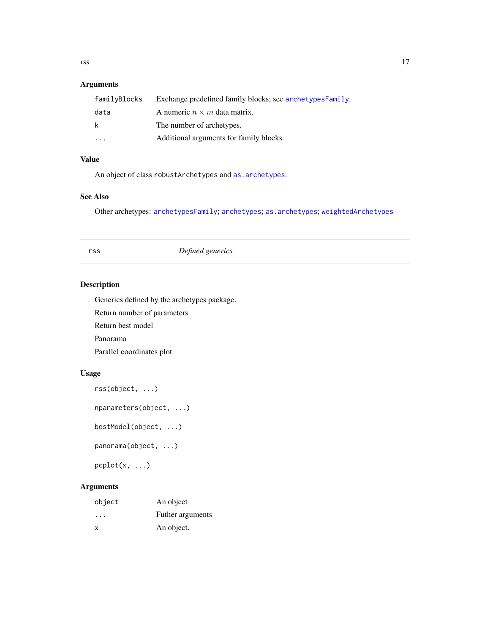<span id="page-16-0"></span>

| familyBlocks | Exchange predefined family blocks; see archetypesFamily. |
|--------------|----------------------------------------------------------|
| data         | A numeric $n \times m$ data matrix.                      |
| k            | The number of archetypes.                                |
| $\cdot$      | Additional arguments for family blocks.                  |

# Value

An object of class robustArchetypes and [as.archetypes](#page-5-1).

# See Also

Other archetypes: [archetypesFamily](#page-3-1); [archetypes](#page-1-1); [as.archetypes](#page-5-1); [weightedArchetypes](#page-23-1)

# rss *Defined generics*

#### <span id="page-16-1"></span>Description

Generics defined by the archetypes package.

Return number of parameters

Return best model

Panorama

Parallel coordinates plot

# Usage

```
rss(object, ...)
```
nparameters(object, ...)

```
bestModel(object, ...)
```
panorama(object, ...)

pcplot(x, ...)

| object | An object        |
|--------|------------------|
| .      | Futher arguments |
| X      | An object.       |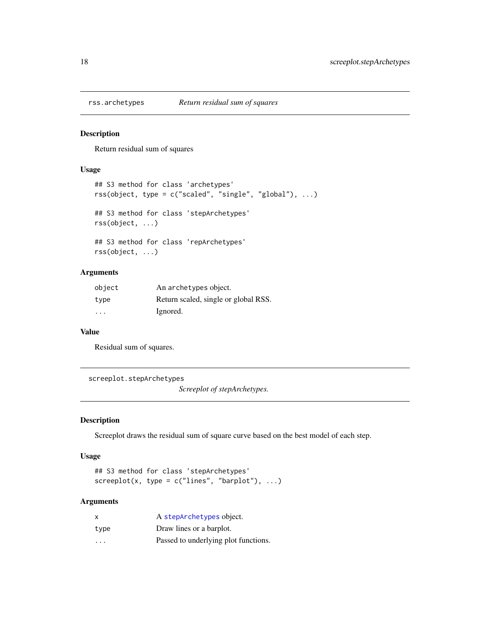<span id="page-17-1"></span><span id="page-17-0"></span>

Return residual sum of squares

#### Usage

```
## S3 method for class 'archetypes'
rss(object, type = c("scaled", "single", "global"), ...)
## S3 method for class 'stepArchetypes'
rss(object, ...)
## S3 method for class 'repArchetypes'
rss(object, ...)
```
# Arguments

| object | An archetypes object.                |
|--------|--------------------------------------|
| type   | Return scaled, single or global RSS. |
| .      | Ignored.                             |

#### Value

Residual sum of squares.

screeplot.stepArchetypes

*Screeplot of stepArchetypes.*

#### Description

Screeplot draws the residual sum of square curve based on the best model of each step.

#### Usage

```
## S3 method for class 'stepArchetypes'
screeplot(x, type = c("lines", "barplot"), ...)
```

| x                       | A stepArchetypes object.             |
|-------------------------|--------------------------------------|
| type                    | Draw lines or a barplot.             |
| $\cdot$ $\cdot$ $\cdot$ | Passed to underlying plot functions. |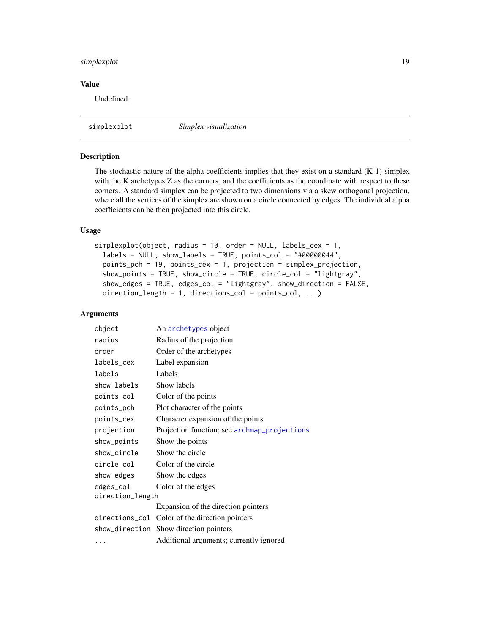#### <span id="page-18-0"></span>simplexplot 19

#### Value

Undefined.

simplexplot *Simplex visualization*

#### Description

The stochastic nature of the alpha coefficients implies that they exist on a standard (K-1)-simplex with the K archetypes Z as the corners, and the coefficients as the coordinate with respect to these corners. A standard simplex can be projected to two dimensions via a skew orthogonal projection, where all the vertices of the simplex are shown on a circle connected by edges. The individual alpha coefficients can be then projected into this circle.

#### Usage

```
simplexplot(object, radius = 10, order = NULL, labels_cex = 1,
  labels = NULL, show_labels = TRUE, points_col = "#00000044",points_pch = 19, points_cex = 1, projection = simplex_projection,
  show_points = TRUE, show_circle = TRUE, circle_col = "lightgray",
  show_edges = TRUE, edges_col = "lightgray", show_direction = FALSE,
  direction_length = 1, directions\_col = points\_col, ...)
```

| object           | An archetypes object                           |  |
|------------------|------------------------------------------------|--|
| radius           | Radius of the projection                       |  |
| order            | Order of the archetypes                        |  |
| labels_cex       | Label expansion                                |  |
| labels           | Labels                                         |  |
| show_labels      | Show labels                                    |  |
| points_col       | Color of the points                            |  |
| points_pch       | Plot character of the points                   |  |
| points_cex       | Character expansion of the points              |  |
| projection       | Projection function; see archmap_projections   |  |
| show_points      | Show the points                                |  |
| show_circle      | Show the circle                                |  |
| circle_col       | Color of the circle                            |  |
| show_edges       | Show the edges                                 |  |
| edges_col        | Color of the edges                             |  |
| direction_length |                                                |  |
|                  | Expansion of the direction pointers            |  |
|                  | directions_col Color of the direction pointers |  |
|                  | show_direction Show direction pointers         |  |
| $\cdots$         | Additional arguments; currently ignored        |  |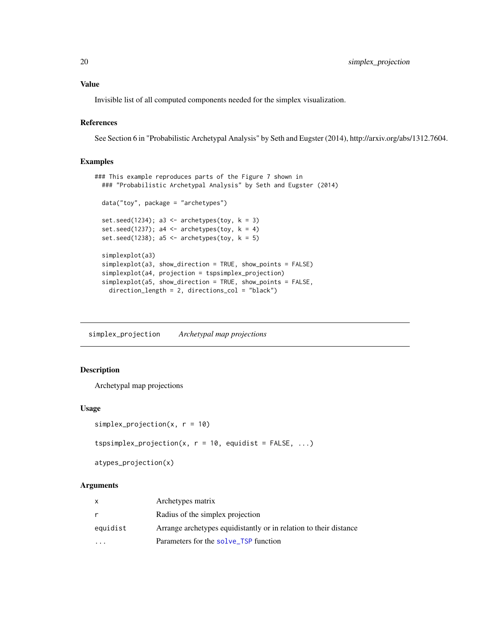Invisible list of all computed components needed for the simplex visualization.

#### References

See Section 6 in "Probabilistic Archetypal Analysis" by Seth and Eugster (2014), http://arxiv.org/abs/1312.7604.

#### Examples

```
### This example reproduces parts of the Figure 7 shown in
 ### "Probabilistic Archetypal Analysis" by Seth and Eugster (2014)
 data("toy", package = "archetypes")
 set.seed(1234); a3 <- archetypes(toy, k = 3)
 set.seed(1237); a4 <- archetypes(toy, k = 4)
 set.seed(1238); a5 <- archetypes(toy, k = 5)
 simplexplot(a3)
 simplexplot(a3, show_direction = TRUE, show_points = FALSE)
 simplexplot(a4, projection = tspsimplex_projection)
 simplexplot(a5, show_direction = TRUE, show_points = FALSE,
   direction_length = 2, directions_col = "black")
```
<span id="page-19-2"></span>simplex\_projection *Archetypal map projections*

# <span id="page-19-1"></span>Description

Archetypal map projections

# Usage

```
simplex\_projection(x, r = 10)
```

```
tspsimplex_projection(x, r = 10, equidist = FALSE, ...)
```
atypes\_projection(x)

| X        | Archetypes matrix                                                 |
|----------|-------------------------------------------------------------------|
| r        | Radius of the simplex projection                                  |
| equidist | Arrange archetypes equidistantly or in relation to their distance |
|          | Parameters for the solve_TSP function                             |

<span id="page-19-0"></span>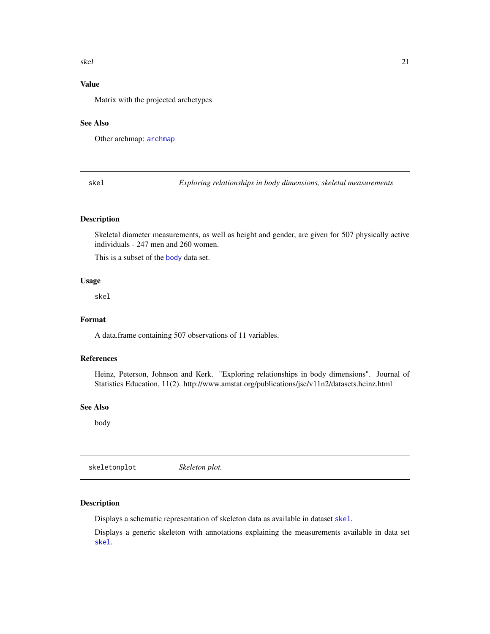#### <span id="page-20-0"></span>skel 21

# Value

Matrix with the projected archetypes

#### See Also

Other archmap: [archmap](#page-3-2)

<span id="page-20-1"></span>skel *Exploring relationships in body dimensions, skeletal measurements*

#### Description

Skeletal diameter measurements, as well as height and gender, are given for 507 physically active individuals - 247 men and 260 women.

This is a subset of the [body](#page-7-1) data set.

#### Usage

skel

# Format

A data.frame containing 507 observations of 11 variables.

#### References

Heinz, Peterson, Johnson and Kerk. "Exploring relationships in body dimensions". Journal of Statistics Education, 11(2). http://www.amstat.org/publications/jse/v11n2/datasets.heinz.html

#### See Also

body

skeletonplot *Skeleton plot.*

#### Description

Displays a schematic representation of skeleton data as available in dataset [skel](#page-20-1).

Displays a generic skeleton with annotations explaining the measurements available in data set [skel](#page-20-1).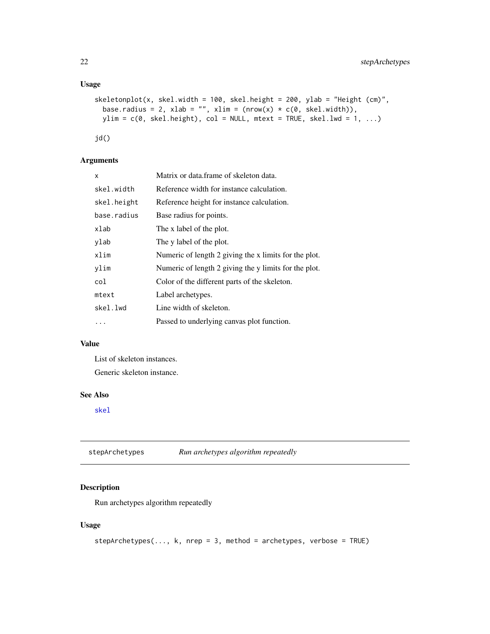#### <span id="page-21-0"></span>Usage

```
skeletonplot(x, skel.width = 100, skel.height = 200, ylab = "Height (cm)",
 base.radius = 2, xlab = "", xlim = (nrow(x) * c(0, skel<u>.width)),</u>
 ylim = c(0, skel.height), col = NULL, mtext = TRUE, skel.1wd = 1, ...)
```
jd()

# Arguments

| x           | Matrix or data frame of skeleton data.                |
|-------------|-------------------------------------------------------|
| skel.width  | Reference width for instance calculation.             |
| skel.height | Reference height for instance calculation.            |
| base.radius | Base radius for points.                               |
| xlab        | The x label of the plot.                              |
| vlab        | The y label of the plot.                              |
| xlim        | Numeric of length 2 giving the x limits for the plot. |
| ylim        | Numeric of length 2 giving the y limits for the plot. |
| col         | Color of the different parts of the skeleton.         |
| mtext       | Label archetypes.                                     |
| skel.lwd    | Line width of skeleton.                               |
|             | Passed to underlying canvas plot function.            |
|             |                                                       |

# Value

List of skeleton instances.

Generic skeleton instance.

# See Also

[skel](#page-20-1)

<span id="page-21-1"></span>

#### Description

Run archetypes algorithm repeatedly

```
stepArchetypes(..., k, nrep = 3, method = archetypes, verbose = TRUE)
```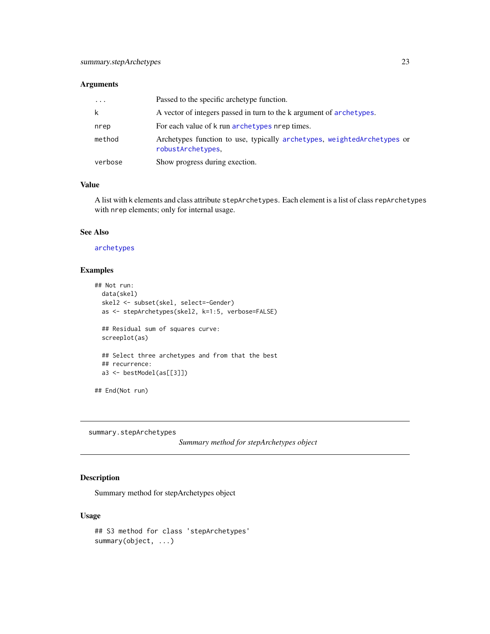<span id="page-22-0"></span>

| $\cdots$ | Passed to the specific archetype function.                                                   |
|----------|----------------------------------------------------------------------------------------------|
| k        | A vector of integers passed in turn to the k argument of archetypes.                         |
| nrep     | For each value of k run archetypes nrep times.                                               |
| method   | Archetypes function to use, typically archetypes, weightedArchetypes or<br>robustArchetypes, |
| verbose  | Show progress during exection.                                                               |

# Value

A list with k elements and class attribute stepArchetypes. Each element is a list of class repArchetypes with nrep elements; only for internal usage.

#### See Also

# [archetypes](#page-1-1)

#### Examples

```
## Not run:
 data(skel)
  skel2 <- subset(skel, select=-Gender)
  as <- stepArchetypes(skel2, k=1:5, verbose=FALSE)
  ## Residual sum of squares curve:
  screeplot(as)
  ## Select three archetypes and from that the best
  ## recurrence:
  a3 <- bestModel(as[[3]])
## End(Not run)
```
summary.stepArchetypes

```
Summary method for stepArchetypes object
```
# Description

Summary method for stepArchetypes object

```
## S3 method for class 'stepArchetypes'
summary(object, ...)
```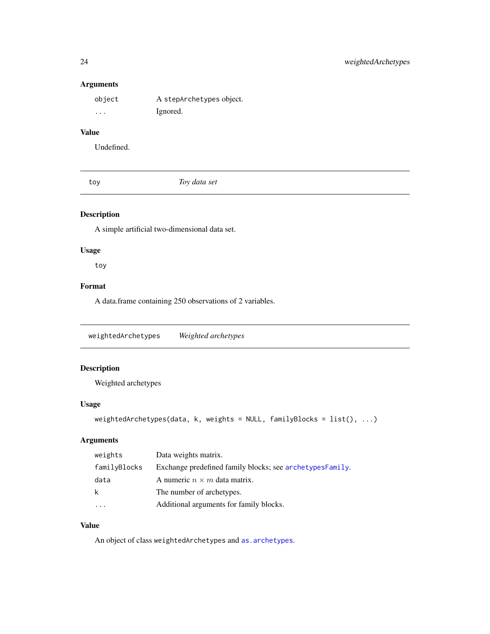| object   | A stepArchetypes object. |
|----------|--------------------------|
| $\cdots$ | Ignored.                 |

# Value

Undefined.

toy *Toy data set*

#### Description

A simple artificial two-dimensional data set.

#### Usage

toy

# Format

A data.frame containing 250 observations of 2 variables.

<span id="page-23-1"></span>weightedArchetypes *Weighted archetypes*

# Description

Weighted archetypes

#### Usage

```
weightedArchetypes(data, k, weights = NULL, familyBlocks = list(), ...)
```
# Arguments

| weights      | Data weights matrix.                                     |
|--------------|----------------------------------------------------------|
| familyBlocks | Exchange predefined family blocks; see archetypesFamily. |
| data         | A numeric $n \times m$ data matrix.                      |
| k            | The number of archetypes.                                |
|              | Additional arguments for family blocks.                  |

# Value

An object of class weightedArchetypes and [as.archetypes](#page-5-1).

<span id="page-23-0"></span>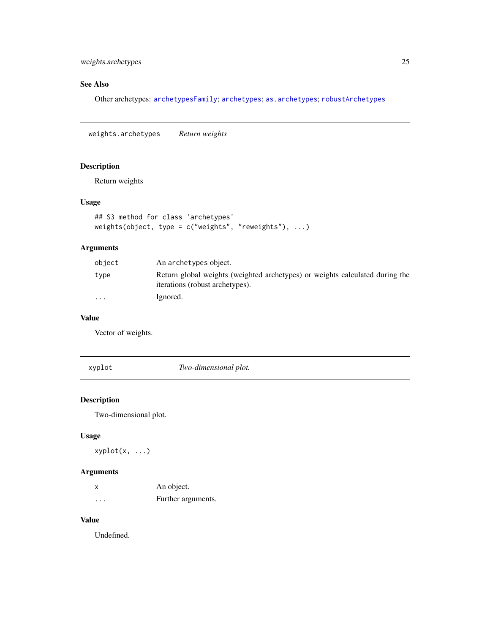#### <span id="page-24-0"></span>weights.archetypes 25

# See Also

Other archetypes: [archetypesFamily](#page-3-1); [archetypes](#page-1-1); [as.archetypes](#page-5-1); [robustArchetypes](#page-15-1)

<span id="page-24-1"></span>weights.archetypes *Return weights*

# Description

Return weights

#### Usage

```
## S3 method for class 'archetypes'
weights(object, type = c("weights", "reweights"), ...)
```
#### Arguments

| object                  | An archetypes object.                                                                                           |
|-------------------------|-----------------------------------------------------------------------------------------------------------------|
| type                    | Return global weights (weighted archetypes) or weights calculated during the<br>iterations (robust archetypes). |
| $\cdot$ $\cdot$ $\cdot$ | Ignored.                                                                                                        |

#### Value

Vector of weights.

xyplot *Two-dimensional plot.*

#### Description

Two-dimensional plot.

# Usage

xyplot(x, ...)

# Arguments

| x       | An object.         |
|---------|--------------------|
| $\cdot$ | Further arguments. |

# Value

Undefined.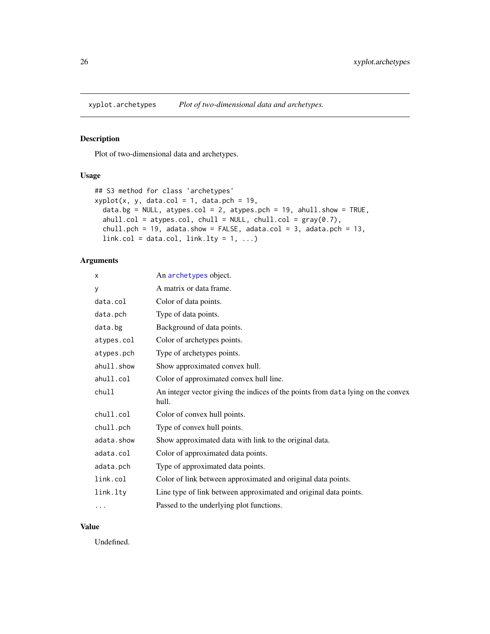<span id="page-25-1"></span><span id="page-25-0"></span>

Plot of two-dimensional data and archetypes.

#### Usage

```
## S3 method for class 'archetypes'
xyplot(x, y, data,col = 1, data.pch = 19,data.bg = NULL, atypes.col = 2, atypes.pch = 19, ahull.show = TRUE,
  ahull.col = atypes.col, chull = NULL, chull.col = gray(0.7),
  chull.pch = 19, adata.show = FALSE, adata.col = 3, adata.pch = 13,
 link.col = data.col, link.link.q = 1, ...
```
#### Arguments

| X          | An archetypes object.                                                                     |
|------------|-------------------------------------------------------------------------------------------|
| У          | A matrix or data frame.                                                                   |
| data.col   | Color of data points.                                                                     |
| data.pch   | Type of data points.                                                                      |
| data.bg    | Background of data points.                                                                |
| atypes.col | Color of archetypes points.                                                               |
| atypes.pch | Type of archetypes points.                                                                |
| ahull.show | Show approximated convex hull.                                                            |
| ahull.col  | Color of approximated convex hull line.                                                   |
| chull      | An integer vector giving the indices of the points from data lying on the convex<br>hull. |
| chull.col  | Color of convex hull points.                                                              |
| chull.pch  | Type of convex hull points.                                                               |
| adata.show | Show approximated data with link to the original data.                                    |
| adata.col  | Color of approximated data points.                                                        |
| adata.pch  | Type of approximated data points.                                                         |
| link.col   | Color of link between approximated and original data points.                              |
| link.lty   | Line type of link between approximated and original data points.                          |
| $\cdots$   | Passed to the underlying plot functions.                                                  |

#### Value

Undefined.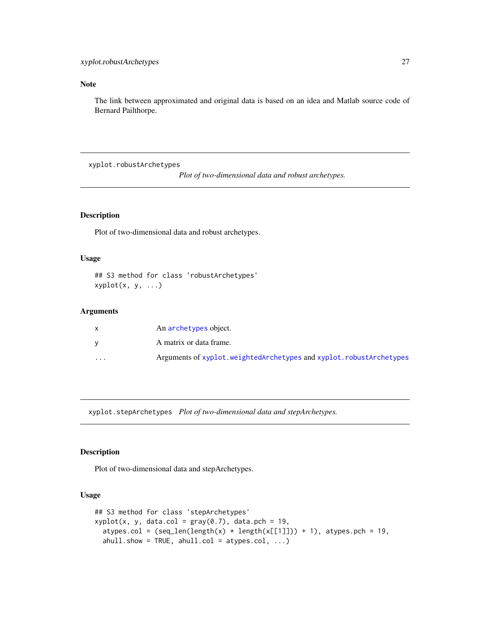# <span id="page-26-0"></span>Note

The link between approximated and original data is based on an idea and Matlab source code of Bernard Pailthorpe.

<span id="page-26-1"></span>xyplot.robustArchetypes

*Plot of two-dimensional data and robust archetypes.*

#### **Description**

Plot of two-dimensional data and robust archetypes.

#### Usage

## S3 method for class 'robustArchetypes'  $xyplot(x, y, ...)$ 

#### Arguments

|                      | An archetypes object.                                              |
|----------------------|--------------------------------------------------------------------|
|                      | A matrix or data frame.                                            |
| $\ddot{\phantom{0}}$ | Arguments of xyplot.weightedArchetypes and xyplot.robustArchetypes |

xyplot.stepArchetypes *Plot of two-dimensional data and stepArchetypes.*

#### Description

Plot of two-dimensional data and stepArchetypes.

```
## S3 method for class 'stepArchetypes'
xyplot(x, y, data,col = gray(0.7), data.pch = 19,atypes.col = (seq_length(x) * length(x[[1]])) + 1), atypes.pch = 19,
  abull.show = TRUE, abull,col = atypes,col, ...)
```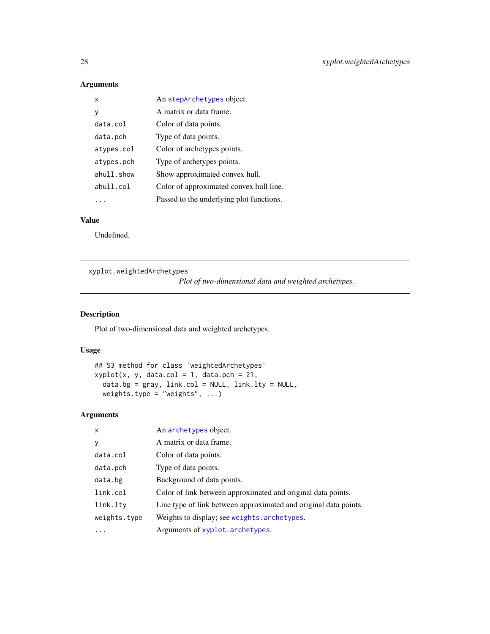| x          | An stepArchetypes object.                |
|------------|------------------------------------------|
| у          | A matrix or data frame.                  |
| data.col   | Color of data points.                    |
| data.pch   | Type of data points.                     |
| atypes.col | Color of archetypes points.              |
| atypes.pch | Type of archetypes points.               |
| ahull.show | Show approximated convex hull.           |
| ahull.col  | Color of approximated convex hull line.  |
|            | Passed to the underlying plot functions. |

# Value

Undefined.

<span id="page-27-1"></span>xyplot.weightedArchetypes

*Plot of two-dimensional data and weighted archetypes.*

# Description

Plot of two-dimensional data and weighted archetypes.

#### Usage

```
## S3 method for class 'weightedArchetypes'
xyplot(x, y, data,col = 1, data.pch = 21,data.bg = gray, link.col = NULL, link.lty = NULL,weights.type = "weights", \ldots)
```

| $\mathsf{x}$ | An archetypes object.                                            |
|--------------|------------------------------------------------------------------|
| y            | A matrix or data frame.                                          |
| data.col     | Color of data points.                                            |
| data.pch     | Type of data points.                                             |
| data.bg      | Background of data points.                                       |
| link.col     | Color of link between approximated and original data points.     |
| link.lty     | Line type of link between approximated and original data points. |
| weights.type | Weights to display; see weights. archetypes.                     |
| $\cdots$     | Arguments of xyplot.archetypes.                                  |

<span id="page-27-0"></span>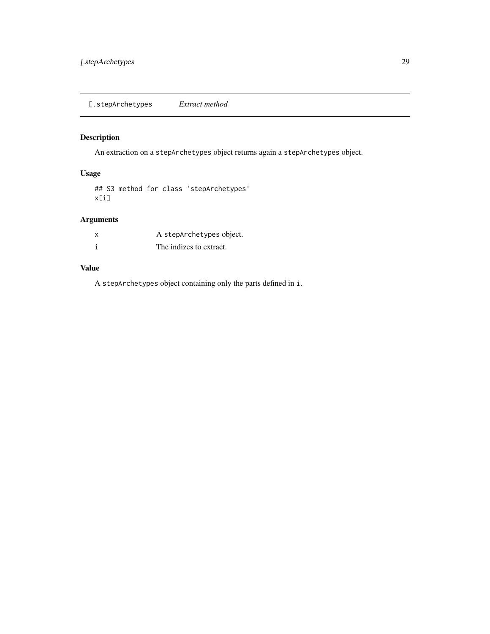<span id="page-28-0"></span>An extraction on a stepArchetypes object returns again a stepArchetypes object.

#### Usage

## S3 method for class 'stepArchetypes' x[i]

# Arguments

| A stepArchetypes object. |
|--------------------------|
| The indizes to extract.  |

#### Value

A stepArchetypes object containing only the parts defined in i.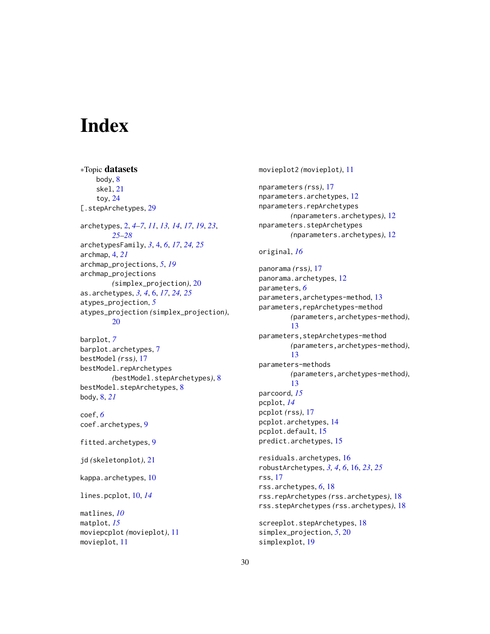# <span id="page-29-0"></span>**Index**

∗Topic datasets body, [8](#page-7-0) skel, [21](#page-20-0) toy, [24](#page-23-0) [.stepArchetypes, [29](#page-28-0) archetypes, [2,](#page-1-0) *[4](#page-3-0)[–7](#page-6-0)*, *[11](#page-10-0)*, *[13,](#page-12-0) [14](#page-13-0)*, *[17](#page-16-0)*, *[19](#page-18-0)*, *[23](#page-22-0)*, *[25](#page-24-0)[–28](#page-27-0)* archetypesFamily, *[3](#page-2-0)*, [4,](#page-3-0) *[6](#page-5-0)*, *[17](#page-16-0)*, *[24,](#page-23-0) [25](#page-24-0)* archmap, [4,](#page-3-0) *[21](#page-20-0)* archmap\_projections, *[5](#page-4-0)*, *[19](#page-18-0)* archmap\_projections *(*simplex\_projection*)*, [20](#page-19-0) as.archetypes, *[3,](#page-2-0) [4](#page-3-0)*, [6,](#page-5-0) *[17](#page-16-0)*, *[24,](#page-23-0) [25](#page-24-0)* atypes\_projection, *[5](#page-4-0)* atypes\_projection *(*simplex\_projection*)*, [20](#page-19-0)

barplot, *[7](#page-6-0)* barplot.archetypes, [7](#page-6-0) bestModel *(*rss*)*, [17](#page-16-0) bestModel.repArchetypes *(*bestModel.stepArchetypes*)*, [8](#page-7-0) bestModel.stepArchetypes, [8](#page-7-0) body, [8,](#page-7-0) *[21](#page-20-0)*

coef, *[6](#page-5-0)* coef.archetypes, [9](#page-8-0)

fitted.archetypes, [9](#page-8-0)

jd *(*skeletonplot*)*, [21](#page-20-0)

kappa.archetypes, [10](#page-9-0)

lines.pcplot, [10,](#page-9-0) *[14](#page-13-0)*

matlines, *[10](#page-9-0)* matplot, *[15](#page-14-0)* moviepcplot *(*movieplot*)*, [11](#page-10-0) movieplot, [11](#page-10-0)

movieplot2 *(*movieplot*)*, [11](#page-10-0)

nparameters *(*rss*)*, [17](#page-16-0) nparameters.archetypes, [12](#page-11-0) nparameters.repArchetypes *(*nparameters.archetypes*)*, [12](#page-11-0) nparameters.stepArchetypes *(*nparameters.archetypes*)*, [12](#page-11-0)

#### original, *[16](#page-15-0)*

panorama *(*rss*)*, [17](#page-16-0) panorama.archetypes, [12](#page-11-0) parameters, *[6](#page-5-0)* parameters,archetypes-method, [13](#page-12-0) parameters, repArchetypes-method *(*parameters,archetypes-method*)*, [13](#page-12-0) parameters,stepArchetypes-method *(*parameters,archetypes-method*)*, [13](#page-12-0) parameters-methods *(*parameters,archetypes-method*)*, [13](#page-12-0) parcoord, *[15](#page-14-0)* pcplot, *[14](#page-13-0)* pcplot *(*rss*)*, [17](#page-16-0) pcplot.archetypes, [14](#page-13-0) pcplot.default, [15](#page-14-0) predict.archetypes, [15](#page-14-0) residuals.archetypes, [16](#page-15-0) robustArchetypes, *[3,](#page-2-0) [4](#page-3-0)*, *[6](#page-5-0)*, [16,](#page-15-0) *[23](#page-22-0)*, *[25](#page-24-0)* rss, [17](#page-16-0) rss.archetypes, *[6](#page-5-0)*, [18](#page-17-0) rss.repArchetypes *(*rss.archetypes*)*, [18](#page-17-0)

rss.stepArchetypes *(*rss.archetypes*)*, [18](#page-17-0)

screeplot.stepArchetypes, [18](#page-17-0) simplex\_projection, *[5](#page-4-0)*, [20](#page-19-0) simplexplot, [19](#page-18-0)